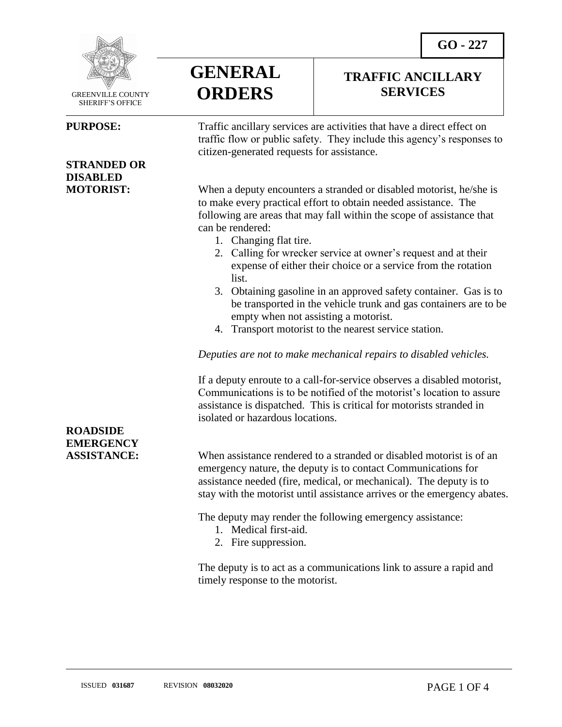**TRAFFIC ANCILLARY SERVICES**



 GREENVILLE COUNTY SHERIFF'S OFFICE

 $\overline{a}$ 

### **STRANDED OR DISABLED**



**PURPOSE:** Traffic ancillary services are activities that have a direct effect on traffic flow or public safety. They include this agency's responses to citizen-generated requests for assistance.

**MOTORIST:** When a deputy encounters a stranded or disabled motorist, he/she is to make every practical effort to obtain needed assistance. The following are areas that may fall within the scope of assistance that can be rendered:

- 1. Changing flat tire.
- 2. Calling for wrecker service at owner's request and at their expense of either their choice or a service from the rotation list.
- 3. Obtaining gasoline in an approved safety container. Gas is to be transported in the vehicle trunk and gas containers are to be empty when not assisting a motorist.
- 4. Transport motorist to the nearest service station.

*Deputies are not to make mechanical repairs to disabled vehicles.*

If a deputy enroute to a call-for-service observes a disabled motorist, Communications is to be notified of the motorist's location to assure assistance is dispatched. This is critical for motorists stranded in isolated or hazardous locations.

**ASSISTANCE:** When assistance rendered to a stranded or disabled motorist is of an emergency nature, the deputy is to contact Communications for assistance needed (fire, medical, or mechanical). The deputy is to stay with the motorist until assistance arrives or the emergency abates.

The deputy may render the following emergency assistance:

- 1. Medical first-aid.
- 2. Fire suppression.

The deputy is to act as a communications link to assure a rapid and timely response to the motorist.

## **ROADSIDE EMERGENCY**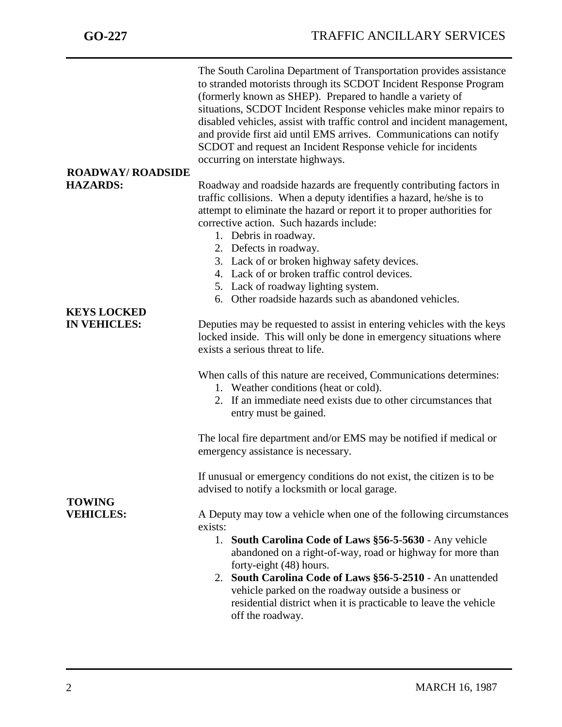|                                   | The South Carolina Department of Transportation provides assistance<br>to stranded motorists through its SCDOT Incident Response Program<br>(formerly known as SHEP). Prepared to handle a variety of<br>situations, SCDOT Incident Response vehicles make minor repairs to<br>disabled vehicles, assist with traffic control and incident management,<br>and provide first aid until EMS arrives. Communications can notify<br>SCDOT and request an Incident Response vehicle for incidents<br>occurring on interstate highways. |
|-----------------------------------|-----------------------------------------------------------------------------------------------------------------------------------------------------------------------------------------------------------------------------------------------------------------------------------------------------------------------------------------------------------------------------------------------------------------------------------------------------------------------------------------------------------------------------------|
| <b>ROADWAY/ ROADSIDE</b>          |                                                                                                                                                                                                                                                                                                                                                                                                                                                                                                                                   |
| <b>HAZARDS:</b>                   | Roadway and roadside hazards are frequently contributing factors in<br>traffic collisions. When a deputy identifies a hazard, he/she is to<br>attempt to eliminate the hazard or report it to proper authorities for<br>corrective action. Such hazards include:<br>1. Debris in roadway.<br>2. Defects in roadway.<br>3. Lack of or broken highway safety devices.<br>4. Lack of or broken traffic control devices.<br>5. Lack of roadway lighting system.<br>6. Other roadside hazards such as abandoned vehicles.              |
| <b>KEYS LOCKED</b>                |                                                                                                                                                                                                                                                                                                                                                                                                                                                                                                                                   |
| <b>IN VEHICLES:</b>               | Deputies may be requested to assist in entering vehicles with the keys<br>locked inside. This will only be done in emergency situations where<br>exists a serious threat to life.                                                                                                                                                                                                                                                                                                                                                 |
|                                   | When calls of this nature are received, Communications determines:<br>1. Weather conditions (heat or cold).<br>2. If an immediate need exists due to other circumstances that<br>entry must be gained.                                                                                                                                                                                                                                                                                                                            |
| <b>TOWING</b><br><b>VEHICLES:</b> | The local fire department and/or EMS may be notified if medical or<br>emergency assistance is necessary.                                                                                                                                                                                                                                                                                                                                                                                                                          |
|                                   | If unusual or emergency conditions do not exist, the citizen is to be<br>advised to notify a locksmith or local garage.                                                                                                                                                                                                                                                                                                                                                                                                           |
|                                   | A Deputy may tow a vehicle when one of the following circumstances<br>exists:                                                                                                                                                                                                                                                                                                                                                                                                                                                     |
|                                   | South Carolina Code of Laws §56-5-5630 - Any vehicle<br>1.<br>abandoned on a right-of-way, road or highway for more than<br>forty-eight (48) hours.<br>2. South Carolina Code of Laws §56-5-2510 - An unattended<br>vehicle parked on the roadway outside a business or<br>residential district when it is practicable to leave the vehicle<br>off the roadway.                                                                                                                                                                   |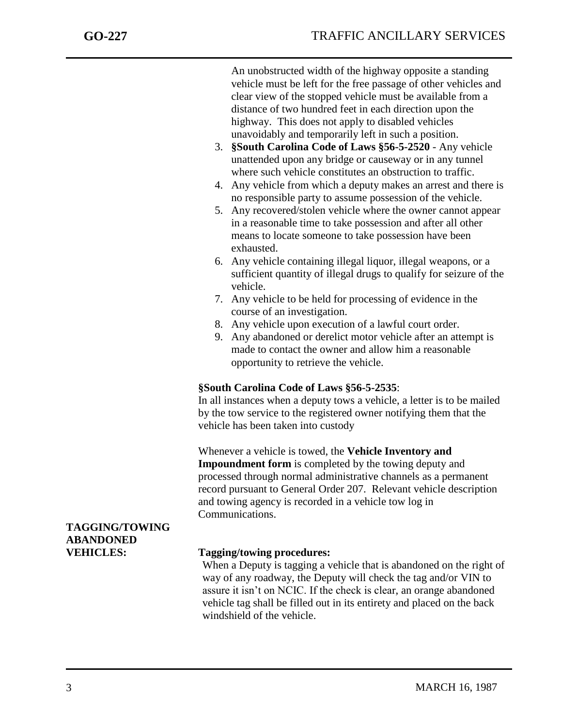An unobstructed width of the highway opposite a standing vehicle must be left for the free passage of other vehicles and clear view of the stopped vehicle must be available from a distance of two hundred feet in each direction upon the highway. This does not apply to disabled vehicles unavoidably and temporarily left in such a position.

- 3. **§South Carolina Code of Laws §56-5-2520** Any vehicle unattended upon any bridge or causeway or in any tunnel where such vehicle constitutes an obstruction to traffic.
- 4. Any vehicle from which a deputy makes an arrest and there is no responsible party to assume possession of the vehicle.
- 5. Any recovered/stolen vehicle where the owner cannot appear in a reasonable time to take possession and after all other means to locate someone to take possession have been exhausted.
- 6. Any vehicle containing illegal liquor, illegal weapons, or a sufficient quantity of illegal drugs to qualify for seizure of the vehicle.
- 7. Any vehicle to be held for processing of evidence in the course of an investigation.
- 8. Any vehicle upon execution of a lawful court order.
- 9. Any abandoned or derelict motor vehicle after an attempt is made to contact the owner and allow him a reasonable opportunity to retrieve the vehicle.

### **§South Carolina Code of Laws §56-5-2535**:

In all instances when a deputy tows a vehicle, a letter is to be mailed by the tow service to the registered owner notifying them that the vehicle has been taken into custody

Whenever a vehicle is towed, the **Vehicle Inventory and Impoundment form** is completed by the towing deputy and processed through normal administrative channels as a permanent record pursuant to General Order 207. Relevant vehicle description and towing agency is recorded in a vehicle tow log in Communications.

### **TAGGING/TOWING ABANDONED**

### **VEHICLES: Tagging/towing procedures:**

When a Deputy is tagging a vehicle that is abandoned on the right of way of any roadway, the Deputy will check the tag and/or VIN to assure it isn't on NCIC. If the check is clear, an orange abandoned vehicle tag shall be filled out in its entirety and placed on the back windshield of the vehicle.

j